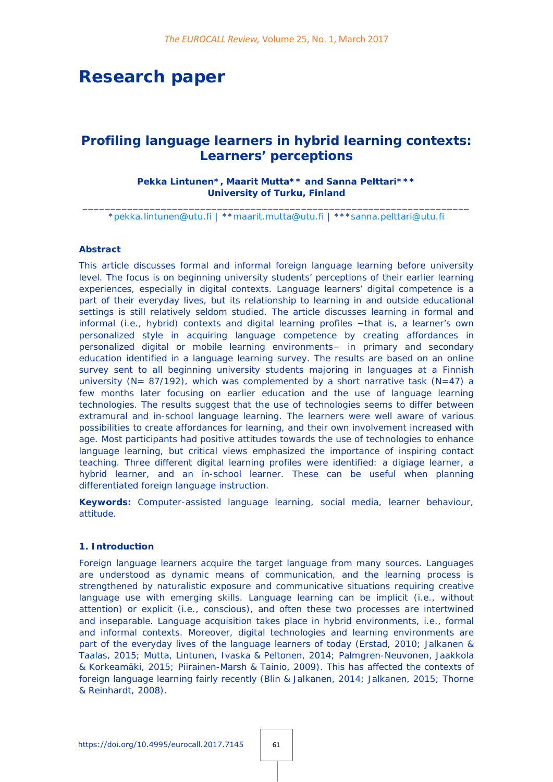# **Research paper**

# *Profiling language learners in hybrid learning contexts: Learners' perceptions*

# **Pekka Lintunen\*, Maarit Mutta\*\* and Sanna Pelttari\*\*\* University of Turku, Finland**

\_\_\_\_\_\_\_\_\_\_\_\_\_\_\_\_\_\_\_\_\_\_\_\_\_\_\_\_\_\_\_\_\_\_\_\_\_\_\_\_\_\_\_\_\_\_\_\_\_\_\_\_\_\_\_\_\_\_\_\_\_\_\_\_\_\_\_\_\_ [\\*pekka.lintunen@utu.fi](mailto:pekka.lintunen@utu.fi) | \*[\\*maarit.mutta@utu.fi](mailto:maarit.mutta@utu.fi) | \*\*[\\*sanna.pelttari@utu.fi](mailto:sanna.pelttari@utu.fi)

### **Abstract**

This article discusses formal and informal foreign language learning before university level. The focus is on beginning university students' perceptions of their earlier learning experiences, especially in digital contexts. Language learners' digital competence is a part of their everyday lives, but its relationship to learning in and outside educational settings is still relatively seldom studied. The article discusses learning in formal and informal (i.e., hybrid) contexts and digital learning profiles −that is, a learner's own personalized style in acquiring language competence by creating affordances in personalized digital or mobile learning environments− in primary and secondary education identified in a language learning survey. The results are based on an online survey sent to all beginning university students majoring in languages at a Finnish university ( $N = 87/192$ ), which was complemented by a short narrative task ( $N=47$ ) a few months later focusing on earlier education and the use of language learning technologies. The results suggest that the use of technologies seems to differ between extramural and in-school language learning. The learners were well aware of various possibilities to create affordances for learning, and their own involvement increased with age. Most participants had positive attitudes towards the use of technologies to enhance language learning, but critical views emphasized the importance of inspiring contact teaching. Three different digital learning profiles were identified: a digiage learner, a hybrid learner, and an in-school learner. These can be useful when planning differentiated foreign language instruction.

**Keywords:** Computer-assisted language learning, social media, learner behaviour, attitude.

#### **1. Introduction**

Foreign language learners acquire the target language from many sources. Languages are understood as dynamic means of communication, and the learning process is strengthened by naturalistic exposure and communicative situations requiring creative language use with emerging skills. Language learning can be implicit (i.e., without attention) or explicit (i.e., conscious), and often these two processes are intertwined and inseparable. Language acquisition takes place in hybrid environments, i.e., formal and informal contexts. Moreover, digital technologies and learning environments are part of the everyday lives of the language learners of today (Erstad, 2010; Jalkanen & Taalas, 2015; Mutta, Lintunen, Ivaska & Peltonen, 2014; Palmgren-Neuvonen, Jaakkola & Korkeamäki, 2015; Piirainen-Marsh & Tainio, 2009). This has affected the contexts of foreign language learning fairly recently (Blin & Jalkanen, 2014; Jalkanen, 2015; Thorne & Reinhardt, 2008).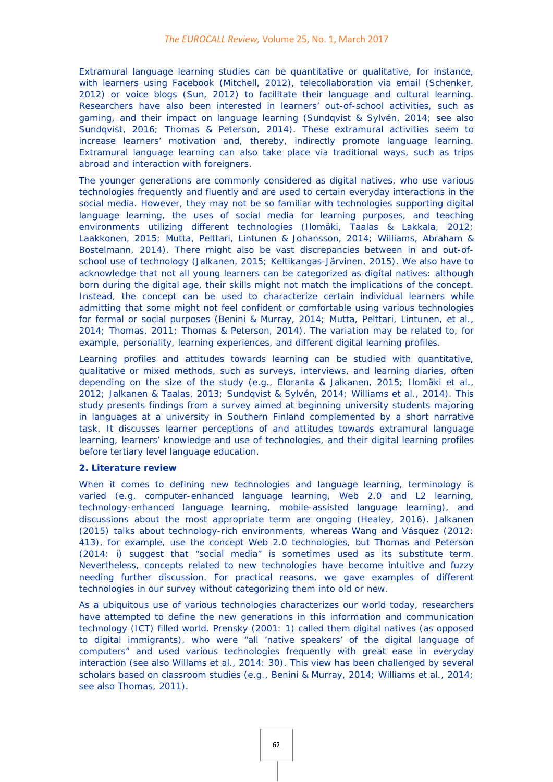Extramural language learning studies can be quantitative or qualitative, for instance, with learners using Facebook (Mitchell, 2012), telecollaboration via email (Schenker, 2012) or voice blogs (Sun, 2012) to facilitate their language and cultural learning. Researchers have also been interested in learners' out-of-school activities, such as gaming, and their impact on language learning (Sundqvist & Sylvén, 2014; see also Sundqvist, 2016; Thomas & Peterson, 2014). These extramural activities seem to increase learners' motivation and, thereby, indirectly promote language learning. Extramural language learning can also take place via traditional ways, such as trips abroad and interaction with foreigners.

The younger generations are commonly considered as digital natives, who use various technologies frequently and fluently and are used to certain everyday interactions in the social media. However, they may not be so familiar with technologies supporting digital language learning, the uses of social media for learning purposes, and teaching environments utilizing different technologies (Ilomäki, Taalas & Lakkala, 2012; Laakkonen, 2015; Mutta, Pelttari, Lintunen & Johansson, 2014; Williams, Abraham & Bostelmann, 2014). There might also be vast discrepancies between in and out-ofschool use of technology (Jalkanen, 2015; Keltikangas-Järvinen, 2015). We also have to acknowledge that not all young learners can be categorized as digital natives: although born during the digital age, their skills might not match the implications of the concept. Instead, the concept can be used to characterize certain individual learners while admitting that some might not feel confident or comfortable using various technologies for formal or social purposes (Benini & Murray, 2014; Mutta, Pelttari, Lintunen, et al., 2014; Thomas, 2011; Thomas & Peterson, 2014). The variation may be related to, for example, personality, learning experiences, and different digital learning profiles.

Learning profiles and attitudes towards learning can be studied with quantitative, qualitative or mixed methods, such as surveys, interviews, and learning diaries, often depending on the size of the study (e.g., Eloranta & Jalkanen, 2015; Ilomäki et al., 2012; Jalkanen & Taalas, 2013; Sundqvist & Sylvén, 2014; Williams et al., 2014). This study presents findings from a survey aimed at beginning university students majoring in languages at a university in Southern Finland complemented by a short narrative task. It discusses learner perceptions of and attitudes towards extramural language learning, learners' knowledge and use of technologies, and their digital learning profiles before tertiary level language education.

#### **2. Literature review**

When it comes to defining new technologies and language learning, terminology is varied (e.g. computer-enhanced language learning, Web 2.0 and L2 learning, technology-enhanced language learning, mobile-assisted language learning), and discussions about the most appropriate term are ongoing (Healey, 2016). Jalkanen (2015) talks about technology-rich environments, whereas Wang and Vásquez (2012: 413), for example, use the concept Web 2.0 technologies, but Thomas and Peterson (2014: i) suggest that "social media" is sometimes used as its substitute term. Nevertheless, concepts related to new technologies have become intuitive and fuzzy needing further discussion. For practical reasons, we gave examples of different technologies in our survey without categorizing them into old or new.

As a ubiquitous use of various technologies characterizes our world today, researchers have attempted to define the new generations in this information and communication technology (ICT) filled world. Prensky (2001: 1) called them digital natives (as opposed to digital immigrants), who were "all 'native speakers' of the digital language of computers" and used various technologies frequently with great ease in everyday interaction (see also Willams et al., 2014: 30). This view has been challenged by several scholars based on classroom studies (e.g., Benini & Murray, 2014; Williams et al., 2014; see also Thomas, 2011).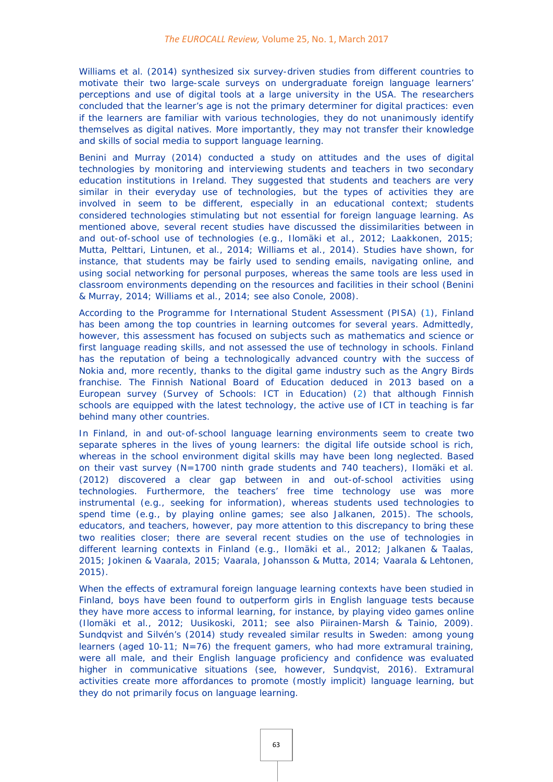Williams et al. (2014) synthesized six survey-driven studies from different countries to motivate their two large-scale surveys on undergraduate foreign language learners' perceptions and use of digital tools at a large university in the USA. The researchers concluded that the learner's age is not the primary determiner for digital practices: even if the learners are familiar with various technologies, they do not unanimously identify themselves as digital natives. More importantly, they may not transfer their knowledge and skills of social media to support language learning.

Benini and Murray (2014) conducted a study on attitudes and the uses of digital technologies by monitoring and interviewing students and teachers in two secondary education institutions in Ireland. They suggested that students and teachers are very similar in their everyday use of technologies, but the types of activities they are involved in seem to be different, especially in an educational context; students considered technologies stimulating but not essential for foreign language learning. As mentioned above, several recent studies have discussed the dissimilarities between in and out-of-school use of technologies (e.g., Ilomäki et al., 2012; Laakkonen, 2015; Mutta, Pelttari, Lintunen, et al., 2014; Williams et al., 2014). Studies have shown, for instance, that students may be fairly used to sending emails, navigating online, and using social networking for personal purposes, whereas the same tools are less used in classroom environments depending on the resources and facilities in their school (Benini & Murray, 2014; Williams et al., 2014; see also Conole, 2008).

According to the Programme for International Student Assessment (PISA) [\(1\)](http://eurocall.webs.upv.es/index.php?m=menu_00&n=news_25_1#_ftn1a), Finland has been among the top countries in learning outcomes for several years. Admittedly, however, this assessment has focused on subjects such as mathematics and science or first language reading skills, and not assessed the use of technology in schools. Finland has the reputation of being a technologically advanced country with the success of Nokia and, more recently, thanks to the digital game industry such as the Angry Birds franchise. The Finnish National Board of Education deduced in 2013 based on a European survey (Survey of Schools: ICT in Education[\)](http://eurocall.webs.upv.es/index.php?m=menu_00&n=news_25_1#_ftn2a) [\(2\)](http://eurocall.webs.upv.es/index.php?m=menu_00&n=news_25_1#_ftn2a) that although Finnish schools are equipped with the latest technology, the active use of ICT in teaching is far behind many other countries.

In Finland, in and out-of-school language learning environments seem to create two separate spheres in the lives of young learners: the digital life outside school is rich, whereas in the school environment digital skills may have been long neglected. Based on their vast survey (N=1700 ninth grade students and 740 teachers), Ilomäki et al. (2012) discovered a clear gap between in and out-of-school activities using technologies. Furthermore, the teachers' free time technology use was more instrumental (e.g., seeking for information), whereas students used technologies to spend time (e.g., by playing online games; see also Jalkanen, 2015). The schools, educators, and teachers, however, pay more attention to this discrepancy to bring these two realities closer; there are several recent studies on the use of technologies in different learning contexts in Finland (e.g., Ilomäki et al., 2012; Jalkanen & Taalas, 2015; Jokinen & Vaarala, 2015; Vaarala, Johansson & Mutta, 2014; Vaarala & Lehtonen, 2015).

When the effects of extramural foreign language learning contexts have been studied in Finland, boys have been found to outperform girls in English language tests because they have more access to informal learning, for instance, by playing video games online (Ilomäki et al., 2012; Uusikoski, 2011; see also Piirainen-Marsh & Tainio, 2009). Sundqvist and Silvén's (2014) study revealed similar results in Sweden: among young learners (aged 10-11;  $N=76$ ) the frequent gamers, who had more extramural training, were all male, and their English language proficiency and confidence was evaluated higher in communicative situations (see, however, Sundqvist, 2016). Extramural activities create more affordances to promote (mostly implicit) language learning, but they do not primarily focus on language learning.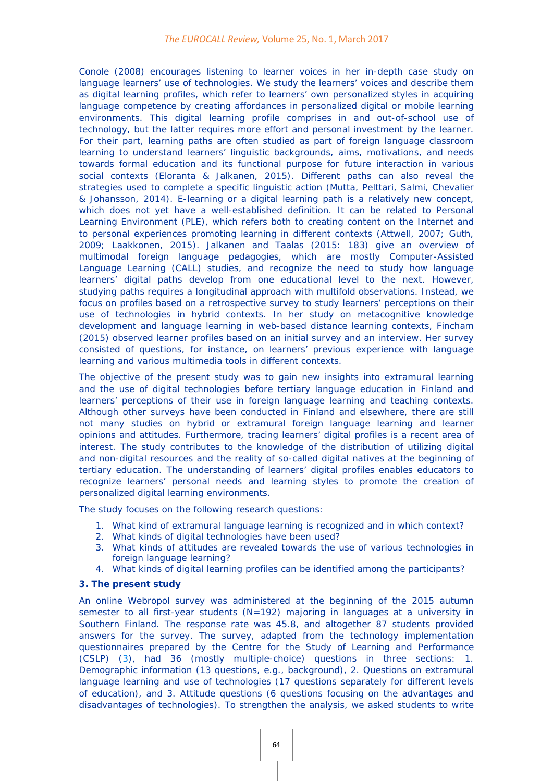Conole (2008) encourages listening to learner voices in her in-depth case study on language learners' use of technologies. We study the learners' voices and describe them as digital learning profiles, which refer to learners' own personalized styles in acquiring language competence by creating affordances in personalized digital or mobile learning environments. This digital learning profile comprises in and out-of-school use of technology, but the latter requires more effort and personal investment by the learner. For their part, learning paths are often studied as part of foreign language classroom learning to understand learners' linguistic backgrounds, aims, motivations, and needs towards formal education and its functional purpose for future interaction in various social contexts (Eloranta & Jalkanen, 2015). Different paths can also reveal the strategies used to complete a specific linguistic action (Mutta, Pelttari, Salmi, Chevalier & Johansson, 2014). E-learning or a digital learning path is a relatively new concept, which does not yet have a well-established definition. It can be related to Personal Learning Environment (PLE), which refers both to creating content on the Internet and to personal experiences promoting learning in different contexts (Attwell, 2007; Guth, 2009; Laakkonen, 2015). Jalkanen and Taalas (2015: 183) give an overview of multimodal foreign language pedagogies, which are mostly Computer-Assisted Language Learning (CALL) studies, and recognize the need to study how language learners' digital paths develop from one educational level to the next. However, studying paths requires a longitudinal approach with multifold observations. Instead, we focus on profiles based on a retrospective survey to study learners' perceptions on their use of technologies in hybrid contexts. In her study on metacognitive knowledge development and language learning in web-based distance learning contexts, Fincham (2015) observed learner profiles based on an initial survey and an interview. Her survey consisted of questions, for instance, on learners' previous experience with language learning and various multimedia tools in different contexts.

The objective of the present study was to gain new insights into extramural learning and the use of digital technologies before tertiary language education in Finland and learners' perceptions of their use in foreign language learning and teaching contexts. Although other surveys have been conducted in Finland and elsewhere, there are still not many studies on hybrid or extramural foreign language learning and learner opinions and attitudes. Furthermore, tracing learners' digital profiles is a recent area of interest. The study contributes to the knowledge of the distribution of utilizing digital and non-digital resources and the reality of so-called digital natives at the beginning of tertiary education. The understanding of learners' digital profiles enables educators to recognize learners' personal needs and learning styles to promote the creation of personalized digital learning environments.

The study focuses on the following research questions:

- 1. What kind of extramural language learning is recognized and in which context?
- 2. What kinds of digital technologies have been used?
- 3. What kinds of attitudes are revealed towards the use of various technologies in foreign language learning?
- 4. What kinds of digital learning profiles can be identified among the participants?

#### **3. The present study**

An online *Webropol* survey was administered at the beginning of the 2015 autumn semester to all first-year students (N=192) majoring in languages at a university in Southern Finland. The response rate was 45.8, and altogether 87 students provided answers for the survey. The survey, adapted from the technology implementation questionnaires prepared by the Centre for the Study of Learning and Performance (CSLP) [\(3\)](http://eurocall.webs.upv.es/index.php?m=menu_00&n=news_25_1#_ftn3a), had 36 (mostly multiple-choice) questions in three sections: 1. Demographic information (13 questions, e.g., background), 2. Questions on extramural language learning and use of technologies (17 questions separately for different levels of education), and 3. Attitude questions (6 questions focusing on the advantages and disadvantages of technologies). To strengthen the analysis, we asked students to write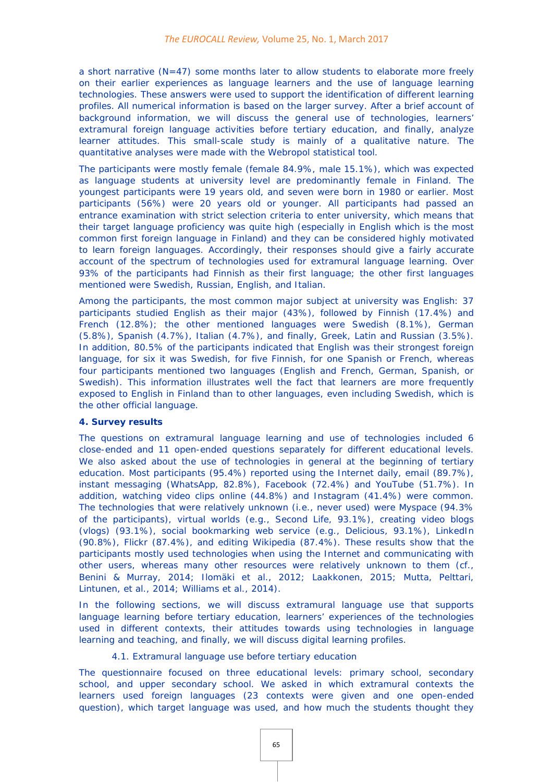a short narrative  $(N=47)$  some months later to allow students to elaborate more freely on their earlier experiences as language learners and the use of language learning technologies. These answers were used to support the identification of different learning profiles. All numerical information is based on the larger survey. After a brief account of background information, we will discuss the general use of technologies, learners' extramural foreign language activities before tertiary education, and finally, analyze learner attitudes. This small-scale study is mainly of a qualitative nature. The quantitative analyses were made with the *Webropol* statistical tool.

The participants were mostly female (female 84.9%, male 15.1%), which was expected as language students at university level are predominantly female in Finland. The youngest participants were 19 years old, and seven were born in 1980 or earlier. Most participants (56%) were 20 years old or younger. All participants had passed an entrance examination with strict selection criteria to enter university, which means that their target language proficiency was quite high (especially in English which is the most common first foreign language in Finland) and they can be considered highly motivated to learn foreign languages. Accordingly, their responses should give a fairly accurate account of the spectrum of technologies used for extramural language learning. Over 93% of the participants had Finnish as their first language; the other first languages mentioned were Swedish, Russian, English, and Italian.

Among the participants, the most common major subject at university was English: 37 participants studied English as their major (43%), followed by Finnish (17.4%) and French (12.8%); the other mentioned languages were Swedish (8.1%), German (5.8%), Spanish (4.7%), Italian (4.7%), and finally, Greek, Latin and Russian (3.5%). In addition, 80.5% of the participants indicated that English was their strongest foreign language, for six it was Swedish, for five Finnish, for one Spanish or French, whereas four participants mentioned two languages (English and French, German, Spanish, or Swedish). This information illustrates well the fact that learners are more frequently exposed to English in Finland than to other languages, even including Swedish, which is the other official language.

#### **4. Survey results**

The questions on extramural language learning and use of technologies included 6 close-ended and 11 open-ended questions separately for different educational levels. We also asked about the use of technologies in general at the beginning of tertiary education. Most participants (95.4%) reported using the Internet daily, email (89.7%), instant messaging (WhatsApp, 82.8%), Facebook (72.4%) and YouTube (51.7%). In addition, watching video clips online (44.8%) and Instagram (41.4%) were common. The technologies that were relatively unknown (i.e., never used) were Myspace (94.3% of the participants), virtual worlds (e.g., Second Life, 93.1%), creating video blogs (vlogs) (93.1%), social bookmarking web service (e.g., Delicious, 93.1%), LinkedIn (90.8%), Flickr (87.4%), and editing Wikipedia (87.4%). These results show that the participants mostly used technologies when using the Internet and communicating with other users, whereas many other resources were relatively unknown to them (cf., Benini & Murray, 2014; Ilomäki et al., 2012; Laakkonen, 2015; Mutta, Pelttari, Lintunen, et al., 2014; Williams et al., 2014).

In the following sections, we will discuss extramural language use that supports language learning before tertiary education, learners' experiences of the technologies used in different contexts, their attitudes towards using technologies in language learning and teaching, and finally, we will discuss digital learning profiles.

### *4.1. Extramural language use before tertiary education*

The questionnaire focused on three educational levels: primary school, secondary school, and upper secondary school. We asked in which extramural contexts the learners used foreign languages (23 contexts were given and one open-ended question), which target language was used, and how much the students thought they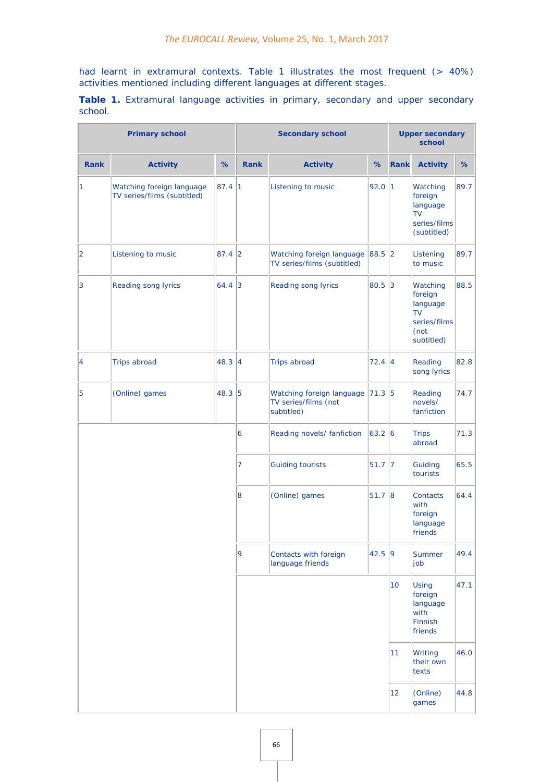had learnt in extramural contexts. Table 1 illustrates the most frequent (> 40%) activities mentioned including different languages at different stages.

**Table 1.** Extramural language activities in primary, secondary and upper secondary school.

| <b>Primary school</b> |                                                          |        | <b>Secondary school</b> |                                                                 |           | <b>Upper secondary</b><br>school |                                                                                     |      |
|-----------------------|----------------------------------------------------------|--------|-------------------------|-----------------------------------------------------------------|-----------|----------------------------------|-------------------------------------------------------------------------------------|------|
| <b>Rank</b>           | <b>Activity</b>                                          | %      | <b>Rank</b>             | <b>Activity</b>                                                 | %         | Rank                             | <b>Activity</b>                                                                     | %    |
| 1                     | Watching foreign language<br>TV series/films (subtitled) | 87.4 1 |                         | Listening to music                                              |           | 92.0<br>$\vert$ 1                | Watching<br>foreign<br>language<br><b>TV</b><br>series/films<br>(subtitled)         | 89.7 |
| 2                     | Listening to music                                       | 87.4 2 |                         | Watching foreign language<br>TV series/films (subtitled)        |           | 88.5 2                           | Listening<br>to music                                                               | 89.7 |
| $\overline{3}$        | <b>Reading song lyrics</b>                               | 64.4 3 |                         | Reading song lyrics<br>80.5 3                                   |           |                                  | Watching<br>foreign<br>language<br><b>TV</b><br>series/films<br>(not)<br>subtitled) | 88.5 |
| 4                     | <b>Trips abroad</b>                                      | 48.3 4 |                         | <b>Trips abroad</b>                                             | 72.4 4    |                                  | Reading<br>song lyrics                                                              | 82.8 |
| 5                     | (Online) games                                           | 48.3 5 |                         | Watching foreign language<br>TV series/films (not<br>subtitled) | 71.3 5    |                                  | Reading<br>novels/<br>fanfiction                                                    | 74.7 |
|                       |                                                          |        | 6                       | Reading novels/ fanfiction                                      | 63.2 6    |                                  | <b>Trips</b><br>abroad                                                              | 71.3 |
|                       |                                                          |        | 7                       | <b>Guiding tourists</b>                                         | $51.7$  7 |                                  | Guiding<br>tourists                                                                 | 65.5 |
|                       |                                                          |        | 8                       | (Online) games                                                  | 51.7 8    |                                  | <b>Contacts</b><br>with<br>foreign<br>language<br>friends                           | 64.4 |
|                       |                                                          |        | 9                       | Contacts with foreign<br>language friends                       | 42.5 9    |                                  | Summer<br>job                                                                       | 49.4 |
|                       |                                                          |        |                         |                                                                 |           | 10 <sup>1</sup>                  | Using<br>foreign<br>language<br>with<br>Finnish<br>friends                          | 47.1 |
|                       |                                                          |        |                         |                                                                 |           | 11                               | Writing<br>their own<br>texts                                                       | 46.0 |
|                       |                                                          |        |                         |                                                                 |           | 12                               | (Online)<br>games                                                                   | 44.8 |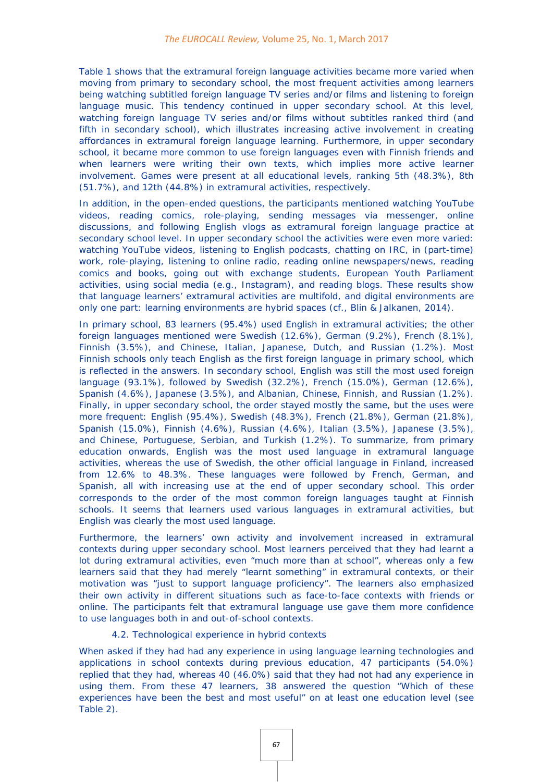Table 1 shows that the extramural foreign language activities became more varied when moving from primary to secondary school, the most frequent activities among learners being watching subtitled foreign language TV series and/or films and listening to foreign language music. This tendency continued in upper secondary school. At this level, watching foreign language TV series and/or films without subtitles ranked third (and fifth in secondary school), which illustrates increasing active involvement in creating affordances in extramural foreign language learning. Furthermore, in upper secondary school, it became more common to use foreign languages even with Finnish friends and when learners were writing their own texts, which implies more active learner involvement. Games were present at all educational levels, ranking 5th (48.3%), 8th (51.7%), and 12th (44.8%) in extramural activities, respectively.

In addition, in the open-ended questions, the participants mentioned watching YouTube videos, reading comics, role-playing, sending messages via messenger, online discussions, and following English vlogs as extramural foreign language practice at secondary school level. In upper secondary school the activities were even more varied: watching YouTube videos, listening to English podcasts, chatting on IRC, in (part-time) work, role-playing, listening to online radio, reading online newspapers/news, reading comics and books, going out with exchange students, European Youth Parliament activities, using social media (e.g., Instagram), and reading blogs. These results show that language learners' extramural activities are multifold, and digital environments are only one part: learning environments are hybrid spaces (cf., Blin & Jalkanen, 2014).

In primary school, 83 learners (95.4%) used English in extramural activities; the other foreign languages mentioned were Swedish (12.6%), German (9.2%), French (8.1%), Finnish (3.5%), and Chinese, Italian, Japanese, Dutch, and Russian (1.2%). Most Finnish schools only teach English as the first foreign language in primary school, which is reflected in the answers. In secondary school, English was still the most used foreign language (93.1%), followed by Swedish (32.2%), French (15.0%), German (12.6%), Spanish (4.6%), Japanese (3.5%), and Albanian, Chinese, Finnish, and Russian (1.2%). Finally, in upper secondary school, the order stayed mostly the same, but the uses were more frequent: English (95.4%), Swedish (48.3%), French (21.8%), German (21.8%), Spanish (15.0%), Finnish (4.6%), Russian (4.6%), Italian (3.5%), Japanese (3.5%), and Chinese, Portuguese, Serbian, and Turkish (1.2%). To summarize, from primary education onwards, English was the most used language in extramural language activities, whereas the use of Swedish, the other official language in Finland, increased from 12.6% to 48.3%. These languages were followed by French, German, and Spanish, all with increasing use at the end of upper secondary school. This order corresponds to the order of the most common foreign languages taught at Finnish schools. It seems that learners used various languages in extramural activities, but English was clearly the most used language.

Furthermore, the learners' own activity and involvement increased in extramural contexts during upper secondary school. Most learners perceived that they had learnt a lot during extramural activities, even "much more than at school", whereas only a few learners said that they had merely "learnt something" in extramural contexts, or their motivation was "just to support language proficiency". The learners also emphasized their own activity in different situations such as face-to-face contexts with friends or online. The participants felt that extramural language use gave them more confidence to use languages both in and out-of-school contexts.

## *4.2. Technological experience in hybrid contexts*

When asked if they had had any experience in using language learning technologies and applications in school contexts during previous education, 47 participants (54.0%) replied that they had, whereas 40 (46.0%) said that they had not had any experience in using them. From these 47 learners, 38 answered the question "Which of these experiences have been the best and most useful" on at least one education level (see Table 2).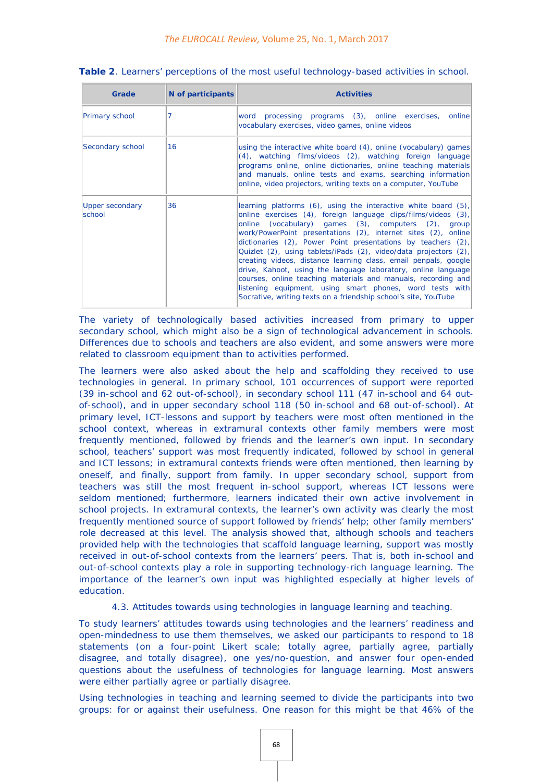| Grade                            | N of participants | <b>Activities</b>                                                                                                                                                                                                                                                                                                                                                                                                                                                                                                                                                                                                                                                                                                                |
|----------------------------------|-------------------|----------------------------------------------------------------------------------------------------------------------------------------------------------------------------------------------------------------------------------------------------------------------------------------------------------------------------------------------------------------------------------------------------------------------------------------------------------------------------------------------------------------------------------------------------------------------------------------------------------------------------------------------------------------------------------------------------------------------------------|
| Primary school                   |                   | word processing programs (3), online exercises,<br>online<br>vocabulary exercises, video games, online videos                                                                                                                                                                                                                                                                                                                                                                                                                                                                                                                                                                                                                    |
| Secondary school                 | 16                | using the interactive white board (4), online (vocabulary) games<br>(4), watching films/videos (2), watching foreign language<br>programs online, online dictionaries, online teaching materials<br>and manuals, online tests and exams, searching information<br>online, video projectors, writing texts on a computer, YouTube                                                                                                                                                                                                                                                                                                                                                                                                 |
| <b>Upper secondary</b><br>school | 36                | learning platforms (6), using the interactive white board (5),<br>online exercises (4), foreign language clips/films/videos (3),<br>online (vocabulary) games (3), computers (2), group<br>work/PowerPoint presentations (2), internet sites (2), online<br>dictionaries (2), Power Point presentations by teachers (2),<br>Quizlet (2), using tablets/iPads (2), video/data projectors (2),<br>creating videos, distance learning class, email penpals, google<br>drive, Kahoot, using the language laboratory, online language<br>courses, online teaching materials and manuals, recording and<br>listening equipment, using smart phones, word tests with<br>Socrative, writing texts on a friendship school's site, YouTube |

| Table 2. Learners' perceptions of the most useful technology-based activities in school. |  |  |  |  |  |  |
|------------------------------------------------------------------------------------------|--|--|--|--|--|--|
|------------------------------------------------------------------------------------------|--|--|--|--|--|--|

The variety of technologically based activities increased from primary to upper secondary school, which might also be a sign of technological advancement in schools. Differences due to schools and teachers are also evident, and some answers were more related to classroom equipment than to activities performed.

The learners were also asked about the help and scaffolding they received to use technologies in general. In primary school, 101 occurrences of support were reported (39 in-school and 62 out-of-school), in secondary school 111 (47 in-school and 64 outof-school), and in upper secondary school 118 (50 in-school and 68 out-of-school). At primary level, ICT-lessons and support by teachers were most often mentioned in the school context, whereas in extramural contexts other family members were most frequently mentioned, followed by friends and the learner's own input. In secondary school, teachers' support was most frequently indicated, followed by school in general and ICT lessons; in extramural contexts friends were often mentioned, then learning by oneself, and finally, support from family. In upper secondary school, support from teachers was still the most frequent in-school support, whereas ICT lessons were seldom mentioned; furthermore, learners indicated their own active involvement in school projects. In extramural contexts, the learner's own activity was clearly the most frequently mentioned source of support followed by friends' help; other family members' role decreased at this level. The analysis showed that, although schools and teachers provided help with the technologies that scaffold language learning, support was mostly received in out-of-school contexts from the learners' peers. That is, both in-school and out-of-school contexts play a role in supporting technology-rich language learning. The importance of the learner's own input was highlighted especially at higher levels of education.

#### *4.3. Attitudes towards using technologies in language learning and teaching.*

To study learners' attitudes towards using technologies and the learners' readiness and open-mindedness to use them themselves, we asked our participants to respond to 18 statements (on a four-point Likert scale; totally agree, partially agree, partially disagree, and totally disagree), one yes/no-question, and answer four open-ended questions about the usefulness of technologies for language learning. Most answers were either partially agree or partially disagree.

Using technologies in teaching and learning seemed to divide the participants into two groups: for or against their usefulness. One reason for this might be that 46% of the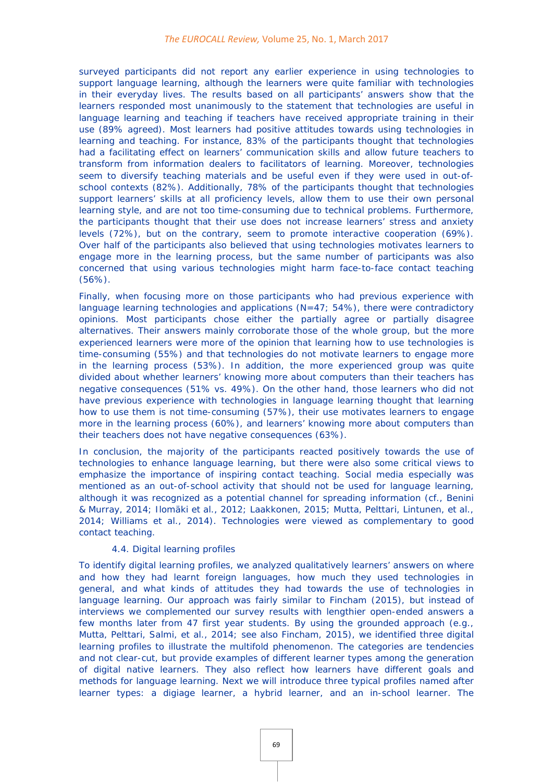surveyed participants did not report any earlier experience in using technologies to support language learning, although the learners were quite familiar with technologies in their everyday lives. The results based on all participants' answers show that the learners responded most unanimously to the statement that technologies are useful in language learning and teaching if teachers have received appropriate training in their use (89% agreed). Most learners had positive attitudes towards using technologies in learning and teaching. For instance, 83% of the participants thought that technologies had a facilitating effect on learners' communication skills and allow future teachers to transform from information dealers to facilitators of learning. Moreover, technologies seem to diversify teaching materials and be useful even if they were used in out-ofschool contexts (82%). Additionally, 78% of the participants thought that technologies support learners' skills at all proficiency levels, allow them to use their own personal learning style, and are not too time-consuming due to technical problems. Furthermore, the participants thought that their use does not increase learners' stress and anxiety levels (72%), but on the contrary, seem to promote interactive cooperation (69%). Over half of the participants also believed that using technologies motivates learners to engage more in the learning process, but the same number of participants was also concerned that using various technologies might harm face-to-face contact teaching (56%).

Finally, when focusing more on those participants who had previous experience with language learning technologies and applications  $(N=47; 54%)$ , there were contradictory opinions. Most participants chose either the partially agree or partially disagree alternatives. Their answers mainly corroborate those of the whole group, but the more experienced learners were more of the opinion that learning how to use technologies is time-consuming (55%) and that technologies do not motivate learners to engage more in the learning process (53%). In addition, the more experienced group was quite divided about whether learners' knowing more about computers than their teachers has negative consequences (51% vs. 49%). On the other hand, those learners who did not have previous experience with technologies in language learning thought that learning how to use them is not time-consuming (57%), their use motivates learners to engage more in the learning process (60%), and learners' knowing more about computers than their teachers does not have negative consequences (63%).

In conclusion, the majority of the participants reacted positively towards the use of technologies to enhance language learning, but there were also some critical views to emphasize the importance of inspiring contact teaching. Social media especially was mentioned as an out-of-school activity that should not be used for language learning, although it was recognized as a potential channel for spreading information (cf., Benini & Murray, 2014; Ilomäki et al., 2012; Laakkonen, 2015; Mutta, Pelttari, Lintunen, et al., 2014; Williams et al., 2014). Technologies were viewed as complementary to good contact teaching.

#### *4.4. Digital learning profiles*

To identify digital learning profiles, we analyzed qualitatively learners' answers on where and how they had learnt foreign languages, how much they used technologies in general, and what kinds of attitudes they had towards the use of technologies in language learning. Our approach was fairly similar to Fincham (2015), but instead of interviews we complemented our survey results with lengthier open-ended answers a few months later from 47 first year students. By using the grounded approach (e.g., Mutta, Pelttari, Salmi, et al., 2014; see also Fincham, 2015), we identified three digital learning profiles to illustrate the multifold phenomenon. The categories are tendencies and not clear-cut, but provide examples of different learner types among the generation of digital native learners. They also reflect how learners have different goals and methods for language learning. Next we will introduce three typical profiles named after learner types: a digiage learner, a hybrid learner, and an in-school learner. The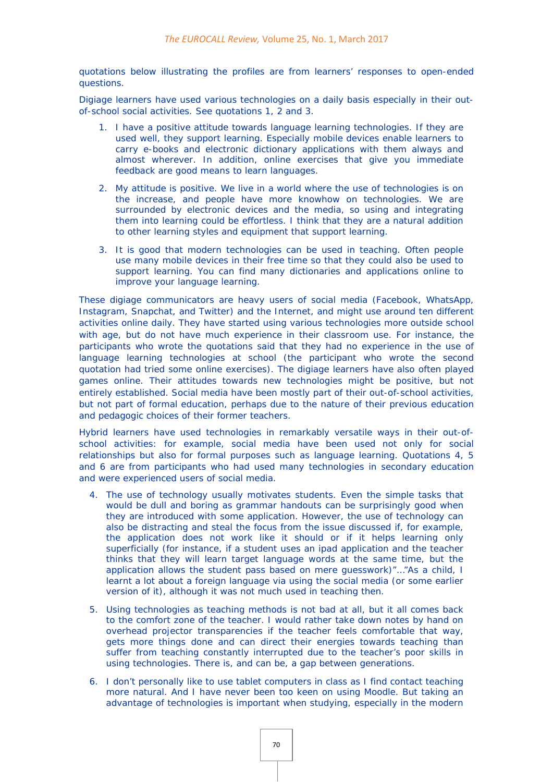quotations below illustrating the profiles are from learners' responses to open-ended questions.

Digiage learners have used various technologies on a daily basis especially in their outof-school social activities. See quotations 1, 2 and 3.

- 1. *I have a positive attitude towards language learning technologies. If they are used well, they support learning. Especially mobile devices enable learners to carry e-books and electronic dictionary applications with them always and almost wherever. In addition, online exercises that give you immediate feedback are good means to learn languages.*
- *2. My attitude is positive. We live in a world where the use of technologies is on the increase, and people have more knowhow on technologies. We are surrounded by electronic devices and the media, so using and integrating them into learning could be effortless. I think that they are a natural addition to other learning styles and equipment that support learning.*
- 3. *It is good that modern technologies can be used in teaching. Often people use many mobile devices in their free time so that they could also be used to support learning. You can find many dictionaries and applications online to improve your language learning.*

These digiage communicators are heavy users of social media (Facebook, WhatsApp, Instagram, Snapchat, and Twitter) and the Internet, and might use around ten different activities online daily. They have started using various technologies more outside school with age, but do not have much experience in their classroom use. For instance, the participants who wrote the quotations said that they had no experience in the use of language learning technologies at school (the participant who wrote the second quotation had tried some online exercises). The digiage learners have also often played games online. Their attitudes towards new technologies might be positive, but not entirely established. Social media have been mostly part of their out-of-school activities, but not part of formal education, perhaps due to the nature of their previous education and pedagogic choices of their former teachers.

Hybrid learners have used technologies in remarkably versatile ways in their out-ofschool activities: for example, social media have been used not only for social relationships but also for formal purposes such as language learning. Quotations 4, 5 and 6 are from participants who had used many technologies in secondary education and were experienced users of social media.

- 4. *The use of technology usually motivates students. Even the simple tasks that would be dull and boring as grammar handouts can be surprisingly good when they are introduced with some application. However, the use of technology can also be distracting and steal the focus from the issue discussed if, for example, the application does not work like it should or if it helps learning only superficially (for instance, if a student uses an ipad application and the teacher thinks that they will learn target language words at the same time, but the application allows the student pass based on mere guesswork)"…"As a child, I learnt a lot about a foreign language via using the social media (or some earlier version of it), although it was not much used in teaching then.*
- *5. Using technologies as teaching methods is not bad at all, but it all comes back to the comfort zone of the teacher. I would rather take down notes by hand on overhead projector transparencies if the teacher feels comfortable that way, gets more things done and can direct their energies towards teaching than suffer from teaching constantly interrupted due to the teacher's poor skills in using technologies. There is, and can be, a gap between generations.*
- 6. *I don't personally like to use tablet computers in class as I find contact teaching more natural. And I have never been too keen on using Moodle. But taking an advantage of technologies is important when studying, especially in the modern*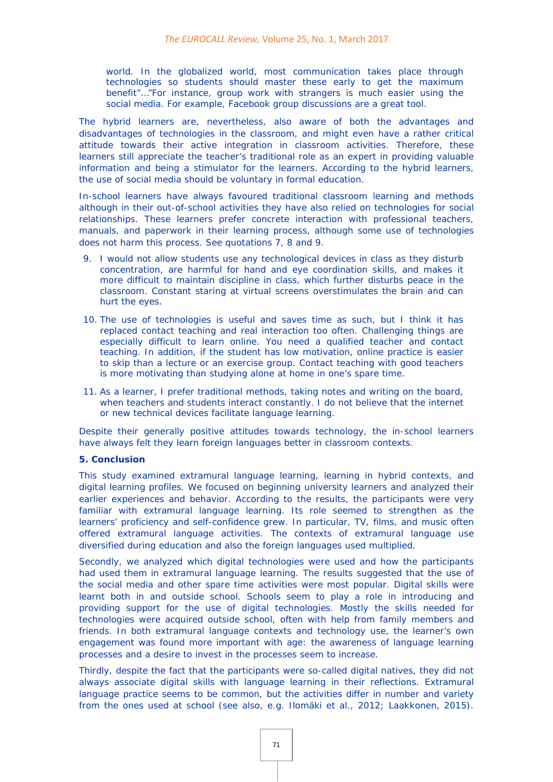*world. In the globalized world, most communication takes place through technologies so students should master these early to get the maximum benefit"…"For instance, group work with strangers is much easier using the social media. For example, Facebook group discussions are a great tool.*

The hybrid learners are, nevertheless, also aware of both the advantages and disadvantages of technologies in the classroom, and might even have a rather critical attitude towards their active integration in classroom activities. Therefore, these learners still appreciate the teacher's traditional role as an expert in providing valuable information and being a stimulator for the learners. According to the hybrid learners, the use of social media should be voluntary in formal education.

In-school learners have always favoured traditional classroom learning and methods although in their out-of-school activities they have also relied on technologies for social relationships. These learners prefer concrete interaction with professional teachers, manuals, and paperwork in their learning process, although some use of technologies does not harm this process. See quotations 7, 8 and 9.

- 9. *I would not allow students use any technological devices in class as they disturb concentration, are harmful for hand and eye coordination skills, and makes it more difficult to maintain discipline in class, which further disturbs peace in the classroom. Constant staring at virtual screens overstimulates the brain and can hurt the eyes.*
- *10. The use of technologies is useful and saves time as such, but I think it has replaced contact teaching and real interaction too often. Challenging things are especially difficult to learn online. You need a qualified teacher and contact teaching. In addition, if the student has low motivation, online practice is easier to skip than a lecture or an exercise group. Contact teaching with good teachers is more motivating than studying alone at home in one's spare time.*
- 11. *As a learner, I prefer traditional methods, taking notes and writing on the board, when teachers and students interact constantly. I do not believe that the internet or new technical devices facilitate language learning.*

Despite their generally positive attitudes towards technology, the in-school learners have always felt they learn foreign languages better in classroom contexts.

#### **5. Conclusion**

This study examined extramural language learning, learning in hybrid contexts, and digital learning profiles. We focused on beginning university learners and analyzed their earlier experiences and behavior. According to the results, the participants were very familiar with extramural language learning. Its role seemed to strengthen as the learners' proficiency and self-confidence grew. In particular, TV, films, and music often offered extramural language activities. The contexts of extramural language use diversified during education and also the foreign languages used multiplied.

Secondly, we analyzed which digital technologies were used and how the participants had used them in extramural language learning. The results suggested that the use of the social media and other spare time activities were most popular. Digital skills were learnt both in and outside school. Schools seem to play a role in introducing and providing support for the use of digital technologies. Mostly the skills needed for technologies were acquired outside school, often with help from family members and friends. In both extramural language contexts and technology use, the learner's own engagement was found more important with age: the awareness of language learning processes and a desire to invest in the processes seem to increase.

Thirdly, despite the fact that the participants were so-called digital natives, they did not always associate digital skills with language learning in their reflections. Extramural language practice seems to be common, but the activities differ in number and variety from the ones used at school (see also, e.g. Ilomäki et al., 2012; Laakkonen, 2015).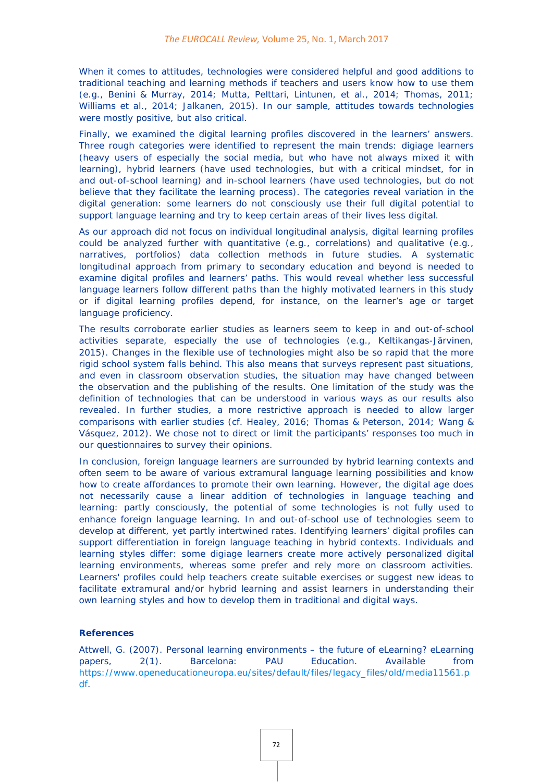When it comes to attitudes, technologies were considered helpful and good additions to traditional teaching and learning methods if teachers and users know how to use them (e.g., Benini & Murray, 2014; Mutta, Pelttari, Lintunen, et al., 2014; Thomas, 2011; Williams et al., 2014; Jalkanen, 2015). In our sample, attitudes towards technologies were mostly positive, but also critical.

Finally, we examined the digital learning profiles discovered in the learners' answers. Three rough categories were identified to represent the main trends: digiage learners (heavy users of especially the social media, but who have not always mixed it with learning), hybrid learners (have used technologies, but with a critical mindset, for in and out-of-school learning) and in-school learners (have used technologies, but do not believe that they facilitate the learning process). The categories reveal variation in the digital generation: some learners do not consciously use their full digital potential to support language learning and try to keep certain areas of their lives less digital.

As our approach did not focus on individual longitudinal analysis, digital learning profiles could be analyzed further with quantitative (e.g., correlations) and qualitative (e.g., narratives, portfolios) data collection methods in future studies. A systematic longitudinal approach from primary to secondary education and beyond is needed to examine digital profiles and learners' paths. This would reveal whether less successful language learners follow different paths than the highly motivated learners in this study or if digital learning profiles depend, for instance, on the learner's age or target language proficiency.

The results corroborate earlier studies as learners seem to keep in and out-of-school activities separate, especially the use of technologies (e.g., Keltikangas-Järvinen, 2015). Changes in the flexible use of technologies might also be so rapid that the more rigid school system falls behind. This also means that surveys represent past situations, and even in classroom observation studies, the situation may have changed between the observation and the publishing of the results. One limitation of the study was the definition of technologies that can be understood in various ways as our results also revealed. In further studies, a more restrictive approach is needed to allow larger comparisons with earlier studies (cf. Healey, 2016; Thomas & Peterson, 2014; Wang & Vásquez, 2012). We chose not to direct or limit the participants' responses too much in our questionnaires to survey their opinions.

In conclusion, foreign language learners are surrounded by hybrid learning contexts and often seem to be aware of various extramural language learning possibilities and know how to create affordances to promote their own learning. However, the digital age does not necessarily cause a linear addition of technologies in language teaching and learning: partly consciously, the potential of some technologies is not fully used to enhance foreign language learning. In and out-of-school use of technologies seem to develop at different, yet partly intertwined rates. Identifying learners' digital profiles can support differentiation in foreign language teaching in hybrid contexts. Individuals and learning styles differ: some digiage learners create more actively personalized digital learning environments, whereas some prefer and rely more on classroom activities. Learners' profiles could help teachers create suitable exercises or suggest new ideas to facilitate extramural and/or hybrid learning and assist learners in understanding their own learning styles and how to develop them in traditional and digital ways.

#### **References**

Attwell, G. (2007). Personal learning environments – the future of eLearning? *eLearning papers, 2*(1). Barcelona: PAU Education. Available from [https://www.openeducationeuropa.eu/sites/default/files/legacy\\_files/old/media11561.p](https://www.openeducationeuropa.eu/sites/default/files/legacy_files/old/media11561.pdf) [df.](https://www.openeducationeuropa.eu/sites/default/files/legacy_files/old/media11561.pdf)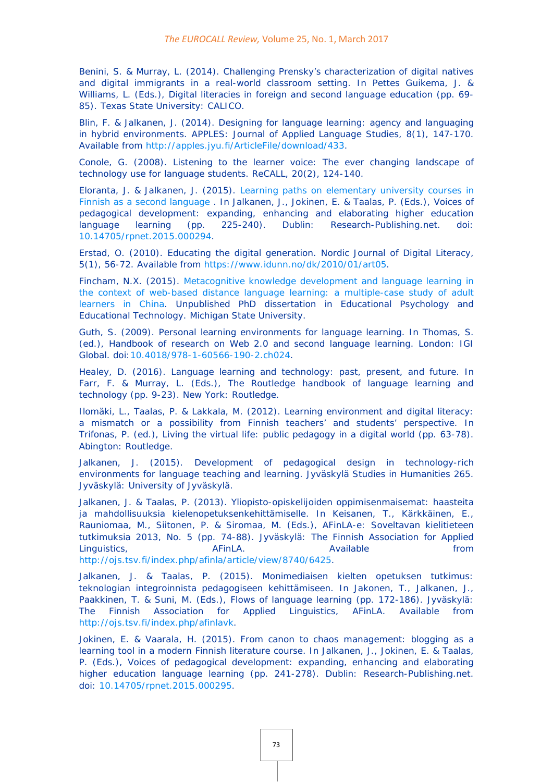Benini, S. & Murray, L. (2014). Challenging Prensky's characterization of digital natives and digital immigrants in a real-world classroom setting. In Pettes Guikema, J. & Williams, L. (Eds.), *Digital literacies in foreign and second language education* (pp. 69- 85). Texas State University: CALICO.

Blin, F. & Jalkanen, J. (2014). Designing for language learning: agency and languaging in hybrid environments. *APPLES: Journal of Applied Language Studies*, *8*(1), 147-170. Available from [http://apples.jyu.fi/ArticleFile/download/433.](http://apples.jyu.fi/ArticleFile/download/433)

Conole, G. (2008). Listening to the learner voice: The ever changing landscape of technology use for language students. *ReCALL, 20*(2), 124-140.

Eloranta, J. & Jalkanen, J. (2015). [Learning paths on elementary](http://dx.doi.org/10.14705/rpnet.2015.000294) university courses in [Finnish as a second language](http://dx.doi.org/10.14705/rpnet.2015.000294) . In Jalkanen, J., Jokinen, E. & Taalas, P. (Eds.), *Voices of pedagogical development: expanding, enhancing and elaborating higher education language learning* (pp. 225-240). Dublin: Research-Publishing.net. doi: [10.14705/rpnet.2015.000294.](http://dx.doi.org/10.14705/rpnet.2015.000294)

Erstad, O. (2010). Educating the digital generation. *Nordic Journal of Digital Literacy, 5*(1), 56-72. Available from [https://www.idunn.no/dk/2010/01/art05.](https://www.idunn.no/dk/2010/01/art05)

Fincham, N.X. (2015). [Metacognitive knowledge development and language learning in](https://www.google.es/url?sa=t&rct=j&q=&esrc=s&source=web&cd=1&ved=0ahUKEwjLh8vQiobTAhUC94MKHf_-AI8QFggaMAA&url=https%3A%2F%2Fetd.lib.msu.edu%2Fislandora%2Fobject%2Fetd%253A3764%2Fdatastream%2FOBJ%2Fdownload%2FMetacognitive_Knowledge_Development_and_Language_Learning_in_the_Context_of_Web-Based_Distance_Language_Learning___A_Multiple-Case_Study_of_Adult_EFL_Learners_in_China.pdf&usg=AFQjCNHiTBlXHpfu-DQPEgtHWbiH6OfJvA&sig2=C1wC1eow7CXaLdP9tSzHuQ&bvm=bv.151325232,d.ZGg)  [the context of web-based distance language learning: a multiple-case study of adult](https://www.google.es/url?sa=t&rct=j&q=&esrc=s&source=web&cd=1&ved=0ahUKEwjLh8vQiobTAhUC94MKHf_-AI8QFggaMAA&url=https%3A%2F%2Fetd.lib.msu.edu%2Fislandora%2Fobject%2Fetd%253A3764%2Fdatastream%2FOBJ%2Fdownload%2FMetacognitive_Knowledge_Development_and_Language_Learning_in_the_Context_of_Web-Based_Distance_Language_Learning___A_Multiple-Case_Study_of_Adult_EFL_Learners_in_China.pdf&usg=AFQjCNHiTBlXHpfu-DQPEgtHWbiH6OfJvA&sig2=C1wC1eow7CXaLdP9tSzHuQ&bvm=bv.151325232,d.ZGg)  [learners in China.](https://www.google.es/url?sa=t&rct=j&q=&esrc=s&source=web&cd=1&ved=0ahUKEwjLh8vQiobTAhUC94MKHf_-AI8QFggaMAA&url=https%3A%2F%2Fetd.lib.msu.edu%2Fislandora%2Fobject%2Fetd%253A3764%2Fdatastream%2FOBJ%2Fdownload%2FMetacognitive_Knowledge_Development_and_Language_Learning_in_the_Context_of_Web-Based_Distance_Language_Learning___A_Multiple-Case_Study_of_Adult_EFL_Learners_in_China.pdf&usg=AFQjCNHiTBlXHpfu-DQPEgtHWbiH6OfJvA&sig2=C1wC1eow7CXaLdP9tSzHuQ&bvm=bv.151325232,d.ZGg) Unpublished PhD dissertation in Educational Psychology and Educational Technology. Michigan State University.

Guth, S. (2009). Personal learning environments for language learning. In Thomas, S. (ed.), *Handbook of research on Web 2.0 and second language learning*. London: IGI Global. doi[:10.4018/978-1-60566-190-2.ch024.](http://dx.doi.org/10.4018/978-1-60566-190-2.ch024)

Healey, D. (2016). Language learning and technology: past, present, and future. In Farr, F. & Murray, L. (Eds.), *The Routledge handbook of language learning and technology* (pp. 9-23). New York: Routledge.

Ilomäki, L., Taalas, P. & Lakkala, M. (2012). Learning environment and digital literacy: a mismatch or a possibility from Finnish teachers' and students' perspective. In Trifonas, P. (ed.), *Living the virtual life: public pedagogy in a digital world* (pp. 63-78). Abington: Routledge.

Jalkanen, J. (2015). *Development of pedagogical design in technology-rich environments for language teaching and learning*. Jyväskylä Studies in Humanities 265. Jyväskylä: University of Jyväskylä.

Jalkanen, J. & Taalas, P. (2013). Yliopisto-opiskelijoiden oppimisenmaisemat: haasteita ja mahdollisuuksia kielenopetuksenkehittämiselle. In Keisanen, T., Kärkkäinen, E., Rauniomaa, M., Siitonen, P. & Siromaa, M. (Eds.), *AFinLA-e: Soveltavan kielitieteen tutkimuksia 2013, No. 5* (pp. 74-88). Jyväskylä: The Finnish Association for Applied Linguistics. **AFINA.** Available **and the set of the AVA** Available **from** [http://ojs.tsv.fi/index.php/afinla/article/view/8740/6425.](http://ojs.tsv.fi/index.php/afinla/article/view/8740/6425)

Jalkanen, J. & Taalas, P. (2015). Monimediaisen kielten opetuksen tutkimus: teknologian integroinnista pedagogiseen kehittämiseen. In Jakonen, T., Jalkanen, J., Paakkinen, T. & Suni, M. (Eds.), *Flows of language learning* (pp. 172-186). Jyväskylä: The Finnish Association for Applied Linguistics, AFinLA. Available from [http://ojs.tsv.fi/index.php/afinlavk.](http://ojs.tsv.fi/index.php/afinlavk)

Jokinen, E. & Vaarala, H. (2015). From canon to chaos management: blogging as a learning tool in a modern Finnish literature course. In Jalkanen, J., Jokinen, E. & Taalas, P. (Eds.), *Voices of pedagogical development: expanding, enhancing and elaborating higher education language learning* (pp. 241-278). Dublin: Research-Publishing.net. doi: [10.14705/rpnet.2015.000295.](http://dx.doi.org/10.14705/rpnet.2015.000295)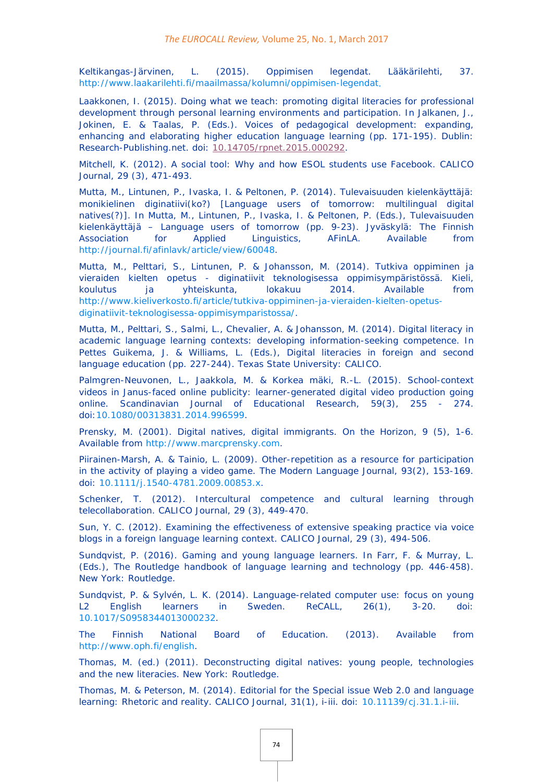Keltikangas-Järvinen, L. (2015). Oppimisen legendat. *Lääkärilehti, 37*. <http://www.laakarilehti.fi/maailmassa/kolumni/oppimisen-legendat>.

Laakkonen, I. (2015). Doing what we teach: promoting digital literacies for professional development through personal learning environments and participation. In Jalkanen, J., Jokinen, E. & Taalas, P. (Eds.). *Voices of pedagogical development: expanding, enhancing and elaborating higher education language learning* (pp. 171-195). Dublin: Research-Publishing.net. doi: [10.14705/rpnet.2015.000292.](http://dx.doi.org/10.14705/rpnet.2015.000292)

Mitchell, K. (2012). A social tool: Why and how ESOL students use Facebook. *CALICO Journal, 29* (3), 471-493.

Mutta, M., Lintunen, P., Ivaska, I. & Peltonen, P. (2014). Tulevaisuuden kielenkäyttäjä: monikielinen diginatiivi(ko?) [Language users of tomorrow: multilingual digital natives(?)]. In Mutta, M., Lintunen, P., Ivaska, I. & Peltonen, P. (Eds.), *Tulevaisuuden kielenkäyttäjä – Language users of tomorrow* (pp. 9-23). Jyväskylä: The Finnish Association for Applied Linguistics, AFinLA. Available from [http://journal.fi/afinlavk/article/view/60048.](http://journal.fi/afinlavk/article/view/60048)

Mutta, M., Pelttari, S., Lintunen, P. & Johansson, M. (2014). Tutkiva oppiminen ja vieraiden kielten opetus - diginatiivit teknologisessa oppimisympäristössä. *Kieli, koulutus ja yhteiskunta, lokakuu 2014*. Available from [http://www.kieliverkosto.fi/article/tutkiva-oppiminen-ja-vieraiden-kielten-opetus](http://www.kieliverkosto.fi/article/tutkiva-oppiminen-ja-vieraiden-kielten-opetus-diginatiivit-teknologisessa-oppimisymparistossa/)[diginatiivit-teknologisessa-oppimisymparistossa/.](http://www.kieliverkosto.fi/article/tutkiva-oppiminen-ja-vieraiden-kielten-opetus-diginatiivit-teknologisessa-oppimisymparistossa/)

Mutta, M., Pelttari, S., Salmi, L., Chevalier, A. & Johansson, M. (2014). Digital literacy in academic language learning contexts: developing information-seeking competence. In Pettes Guikema, J. & Williams, L. (Eds.), *Digital literacies in foreign and second language education* (pp. 227-244). Texas State University: CALICO.

Palmgren-Neuvonen, L., Jaakkola, M. & Korkea mäki, R.-L. (2015). School-context videos in Janus-faced online publicity: learner-generated digital video production going online. *Scandinavian Journal of Educational Research, 59*(3), 255 - 274. doi[:10.1080/00313831.2014.996599.](http://dx.doi.org/10.1080/00313831.2014.996599)

Prensky, M. (2001). Digital natives, digital immigrants. *On the Horizon, 9* (5), 1-6. Available from [http://www.marcprensky.com.](http://www.marcprensky.com/)

Piirainen-Marsh, A. & Tainio, L. (2009). Other-repetition as a resource for participation in the activity of playing a video game. *The Modern Language Journal*, *93*(2), 153-169. doi: [10.1111/j.1540-4781.2009.00853.x.](http://dx.doi.org/10.1111/j.1540-4781.2009.00853.x)

Schenker, T. (2012). Intercultural competence and cultural learning through telecollaboration. *CALICO Journal, 29* (3), 449-470.

Sun, Y. C. (2012). Examining the effectiveness of extensive speaking practice via voice blogs in a foreign language learning context. *CALICO Journal, 29* (3), 494-506.

Sundqvist, P. (2016). Gaming and young language learners. In Farr, F. & Murray, L. (Eds.), *The Routledge handbook of language learning and technology* (pp. 446-458). New York: Routledge.

Sundqvist, P. & Sylvén, L. K. (2014). Language-related computer use: focus on young L2 English learners in Sweden. *ReCALL, 26*(1), 3-20. doi: [10.1017/S0958344013000232.](http://dx.doi.org/10.1017/S0958344013000232)

The Finnish National Board of Education. (2013). Available from [http://www.oph.fi/english.](http://www.oph.fi/english)

Thomas, M. (ed.) (2011). *Deconstructing digital natives: young people, technologies and the new literacies*. New York: Routledge.

Thomas, M. & Peterson, M. (2014). Editorial for the Special issue Web 2.0 and language learning: Rhetoric and reality. *CALICO Journal, 31*(1), i-iii. doi: [10.11139/cj.31.1.i-iii.](http://dx.doi.org/10.11139/cj.31.1.i-iii)